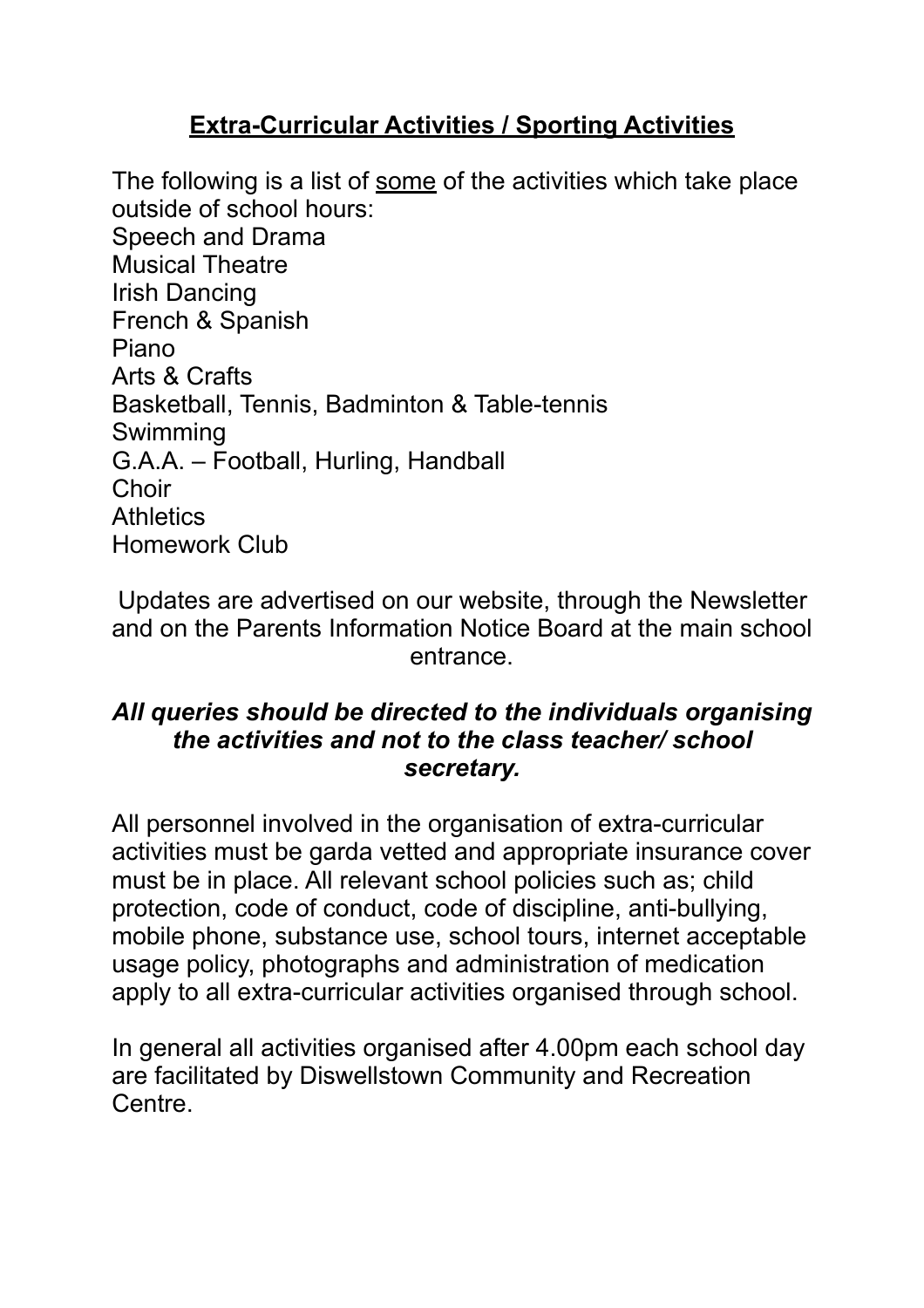## **Extra-Curricular Activities / Sporting Activities**

The following is a list of some of the activities which take place outside of school hours: Speech and Drama Musical Theatre Irish Dancing French & Spanish Piano Arts & Crafts Basketball, Tennis, Badminton & Table-tennis Swimming G.A.A. – Football, Hurling, Handball **Choir Athletics** Homework Club

Updates are advertised on our website, through the Newsletter and on the Parents Information Notice Board at the main school entrance.

## *All queries should be directed to the individuals organising the activities and not to the class teacher/ school secretary.*

All personnel involved in the organisation of extra-curricular activities must be garda vetted and appropriate insurance cover must be in place. All relevant school policies such as; child protection, code of conduct, code of discipline, anti-bullying, mobile phone, substance use, school tours, internet acceptable usage policy, photographs and administration of medication apply to all extra-curricular activities organised through school.

In general all activities organised after 4.00pm each school day are facilitated by Diswellstown Community and Recreation Centre.